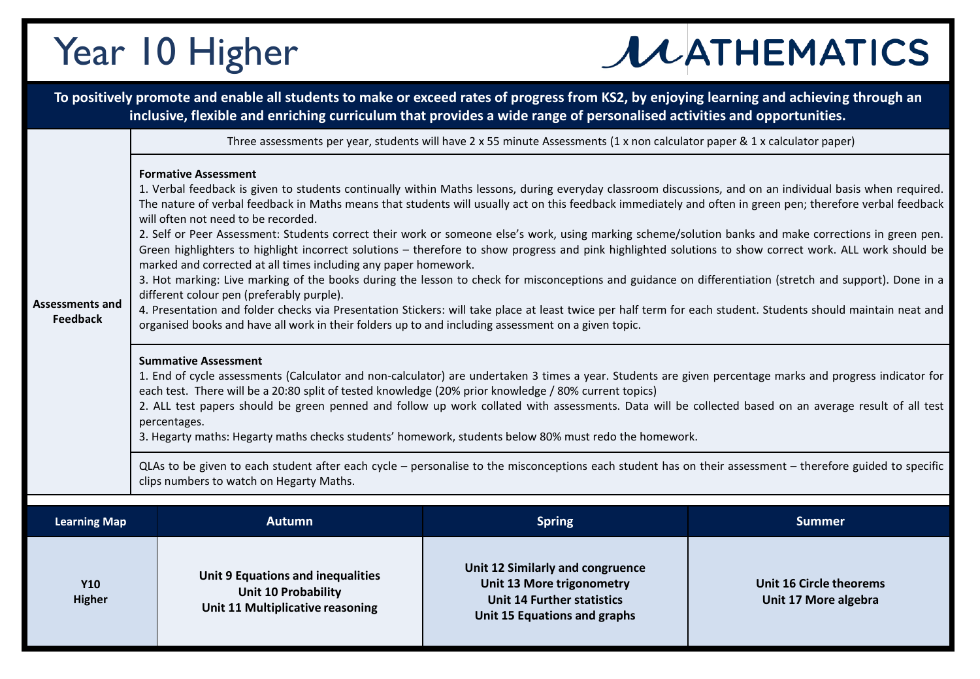## Year 10 Higher

## **JUATHEMATICS**

|                                           |                                                                                                                                                                                                                                                                                                                                                                                                                                                                                                                                                                                                                                                                                                                                                                                                                                                                                                                                                                                                                                                                                                                                                                                                                                                                                                                                                                                                                                                                                                                                                                                                                                                                                                                                                                                                                                                                 | To positively promote and enable all students to make or exceed rates of progress from KS2, by enjoying learning and achieving through an<br>inclusive, flexible and enriching curriculum that provides a wide range of personalised activities and opportunities. |                                                                                                                                    |                                                        |  |  |
|-------------------------------------------|-----------------------------------------------------------------------------------------------------------------------------------------------------------------------------------------------------------------------------------------------------------------------------------------------------------------------------------------------------------------------------------------------------------------------------------------------------------------------------------------------------------------------------------------------------------------------------------------------------------------------------------------------------------------------------------------------------------------------------------------------------------------------------------------------------------------------------------------------------------------------------------------------------------------------------------------------------------------------------------------------------------------------------------------------------------------------------------------------------------------------------------------------------------------------------------------------------------------------------------------------------------------------------------------------------------------------------------------------------------------------------------------------------------------------------------------------------------------------------------------------------------------------------------------------------------------------------------------------------------------------------------------------------------------------------------------------------------------------------------------------------------------------------------------------------------------------------------------------------------------|--------------------------------------------------------------------------------------------------------------------------------------------------------------------------------------------------------------------------------------------------------------------|------------------------------------------------------------------------------------------------------------------------------------|--------------------------------------------------------|--|--|
| <b>Assessments and</b><br><b>Feedback</b> | Three assessments per year, students will have $2 \times 55$ minute Assessments (1 x non calculator paper & 1 x calculator paper)                                                                                                                                                                                                                                                                                                                                                                                                                                                                                                                                                                                                                                                                                                                                                                                                                                                                                                                                                                                                                                                                                                                                                                                                                                                                                                                                                                                                                                                                                                                                                                                                                                                                                                                               |                                                                                                                                                                                                                                                                    |                                                                                                                                    |                                                        |  |  |
|                                           | <b>Formative Assessment</b><br>1. Verbal feedback is given to students continually within Maths lessons, during everyday classroom discussions, and on an individual basis when required.<br>The nature of verbal feedback in Maths means that students will usually act on this feedback immediately and often in green pen; therefore verbal feedback<br>will often not need to be recorded.<br>2. Self or Peer Assessment: Students correct their work or someone else's work, using marking scheme/solution banks and make corrections in green pen.<br>Green highlighters to highlight incorrect solutions - therefore to show progress and pink highlighted solutions to show correct work. ALL work should be<br>marked and corrected at all times including any paper homework.<br>3. Hot marking: Live marking of the books during the lesson to check for misconceptions and guidance on differentiation (stretch and support). Done in a<br>different colour pen (preferably purple).<br>4. Presentation and folder checks via Presentation Stickers: will take place at least twice per half term for each student. Students should maintain neat and<br>organised books and have all work in their folders up to and including assessment on a given topic.<br><b>Summative Assessment</b><br>1. End of cycle assessments (Calculator and non-calculator) are undertaken 3 times a year. Students are given percentage marks and progress indicator for<br>each test. There will be a 20:80 split of tested knowledge (20% prior knowledge / 80% current topics)<br>2. ALL test papers should be green penned and follow up work collated with assessments. Data will be collected based on an average result of all test<br>percentages.<br>3. Hegarty maths: Hegarty maths checks students' homework, students below 80% must redo the homework. |                                                                                                                                                                                                                                                                    |                                                                                                                                    |                                                        |  |  |
|                                           | QLAs to be given to each student after each cycle - personalise to the misconceptions each student has on their assessment - therefore guided to specific<br>clips numbers to watch on Hegarty Maths.                                                                                                                                                                                                                                                                                                                                                                                                                                                                                                                                                                                                                                                                                                                                                                                                                                                                                                                                                                                                                                                                                                                                                                                                                                                                                                                                                                                                                                                                                                                                                                                                                                                           |                                                                                                                                                                                                                                                                    |                                                                                                                                    |                                                        |  |  |
| <b>Learning Map</b>                       |                                                                                                                                                                                                                                                                                                                                                                                                                                                                                                                                                                                                                                                                                                                                                                                                                                                                                                                                                                                                                                                                                                                                                                                                                                                                                                                                                                                                                                                                                                                                                                                                                                                                                                                                                                                                                                                                 | <b>Autumn</b>                                                                                                                                                                                                                                                      | <b>Spring</b>                                                                                                                      | <b>Summer</b>                                          |  |  |
| <b>Y10</b><br><b>Higher</b>               |                                                                                                                                                                                                                                                                                                                                                                                                                                                                                                                                                                                                                                                                                                                                                                                                                                                                                                                                                                                                                                                                                                                                                                                                                                                                                                                                                                                                                                                                                                                                                                                                                                                                                                                                                                                                                                                                 | <b>Unit 9 Equations and inequalities</b><br><b>Unit 10 Probability</b><br>Unit 11 Multiplicative reasoning                                                                                                                                                         | Unit 12 Similarly and congruence<br>Unit 13 More trigonometry<br><b>Unit 14 Further statistics</b><br>Unit 15 Equations and graphs | <b>Unit 16 Circle theorems</b><br>Unit 17 More algebra |  |  |